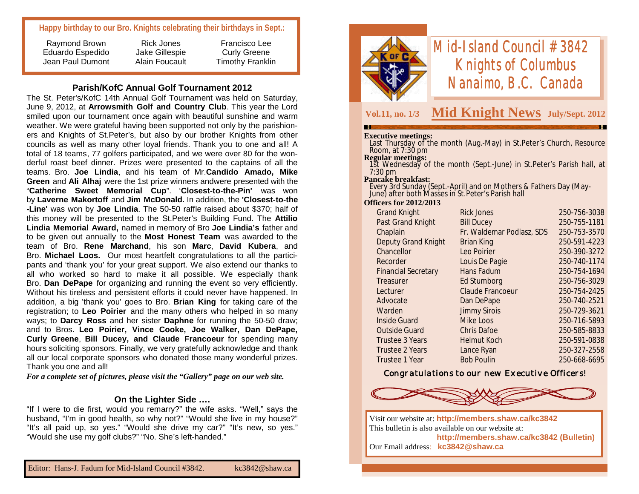# **Happy birthday to our Bro. Knights celebrating their birthdays in Sept.:**

| Raymond Brown    | <b>Rick Jones</b> | Francisco Lee           |
|------------------|-------------------|-------------------------|
| Eduardo Espedido | Jake Gillespie    | <b>Curly Greene</b>     |
| Jean Paul Dumont | Alain Foucault    | <b>Timothy Franklin</b> |
|                  |                   |                         |

# **Parish/KofC Annual Golf Tournament 2012**

The St. Peter's/KofC 14th Annual Golf Tournament was held on Saturday, June 9, 2012, at **Arrowsmith Golf and Country Club**. This year the Lord smiled upon our tournament once again with beautiful sunshine and warm weather. We were grateful having been supported not only by the parishioners and Knights of St.Peter's, but also by our brother Knights from other councils as well as many other loyal friends. Thank you to one and all! A total of 18 teams, 77 golfers participated, and we were over 80 for the wonderful roast beef dinner. Prizes were presented to the captains of all the teams. Bro. **Joe Lindia**, and his team of Mr.**Candido Amado, Mike Green** and **Ali Alhaj** were the 1st prize winners andwere presented with the "**Catherine Sweet Memorial Cup**". '**Closest-to-the-Pin'** was won by **Laverne Makortoff** and **Jim McDonald.** In addition, the **'Closest-to-the -Line'** was won by **Joe Lindia**. The 50-50 raffle raised about \$370; half of this money will be presented to the St.Peter's Building Fund. The **Attilio Lindia Memorial Award,** named in memory of Bro **Joe Lindia's** father and to be given out annually to the **Most Honest Team** was awarded to the team of Bro. **Rene Marchand**, his son **Marc**, **David Kubera**, and Bro. **Michael Loos.** Our most heartfelt congratulations to all the participants and 'thank you' for your great support. We also extend our thanks to all who worked so hard to make it all possible. We especially thank Bro. **Dan DePape** for organizing and running the event so very efficiently. Without his tireless and persistent efforts it could never have happened. In addition, a big 'thank you' goes to Bro. **Brian King** for taking care of the registration; to **Leo Poirier** and the many others who helped in so many ways; to **Darcy Ross** and her sister **Daphne** for running the 50-50 draw; and to Bros. **Leo Poirier, Vince Cooke, Joe Walker, Dan DePape, Curly Greene**, **Bill Ducey, and Claude Francoeur** for spending many hours soliciting sponsors. Finally, we very gratefully acknowledge and thank all our local corporate sponsors who donated those many wonderful prizes. Thank you one and all!

*For a complete set of pictures, please visit the "Gallery" page on our web site.*

# **On the Lighter Side ….**

"If I were to die first, would you remarry?" the wife asks. "Well," says the husband, "I'm in good health, so why not?" "Would she live in my house?" "It's all paid up, so yes." "Would she drive my car?" "It's new, so yes." "Would she use my golf clubs?" "No. She's left-handed."



# *Mid-Island Council #3842 Knights of Columbus Nanaimo, B.C. Canada*

# **Vol.11, no. 1/3 Mid Knight News July/Sept. 2012**

#### **Executive meetings:**

 Last Thursday of the month (Aug.-May) in St.Peter's Church, Resource Room, at 7:30 pm

**Regular meetings:**

 1st Wednesday of the month (Sept.-June) in St.Peter's Parish hall, at 7:30 pm

### **Pancake breakfast:**

 Every 3rd Sunday (Sept.-April) and on Mothers & Fathers Day (May-June) after both Masses in St.Peter's Parish hall

#### **Officers for 2012/2013**

| <b>Rick Jones</b>         | 250-756-3038 |
|---------------------------|--------------|
| <b>Bill Ducey</b>         | 250-755-1181 |
| Fr. Waldemar Podlasz, SDS | 250-753-3570 |
| <b>Brian King</b>         | 250-591-4223 |
| Leo Poirier               | 250-390-3272 |
| Louis De Pagie            | 250-740-1174 |
| Hans Fadum                | 250-754-1694 |
| Ed Stumborg               | 250-756-3029 |
| <b>Claude Francoeur</b>   | 250-754-2425 |
| Dan DePape                | 250-740-2521 |
| <b>Jimmy Sirois</b>       | 250-729-3621 |
| Mike Loos                 | 250-716-5893 |
| <b>Chris Dafoe</b>        | 250-585-8833 |
| <b>Helmut Koch</b>        | 250-591-0838 |
| Lance Ryan                | 250-327-2558 |
| <b>Bob Poulin</b>         | 250-668-6695 |
|                           |              |

# *Congratulations to our new Executive Officers!*



Visit our website at: **http://members.shaw.ca/kc3842** This bulletin is also available on our website at: **http://members.shaw.ca/kc3842 (Bulletin)** Our Email address: **kc3842@shaw.ca**